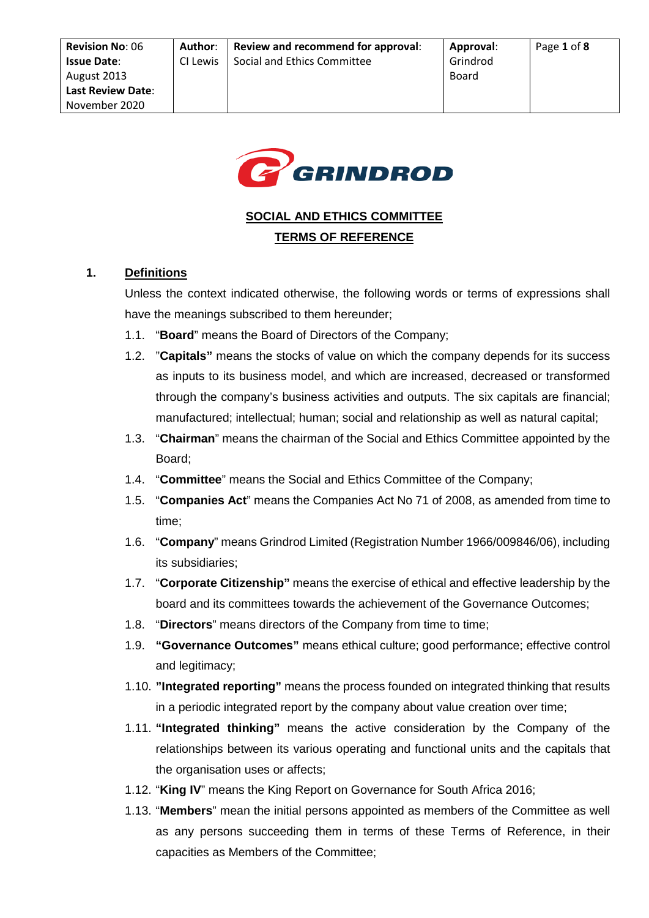

# **SOCIAL AND ETHICS COMMITTEE TERMS OF REFERENCE**

# **1. Definitions**

Unless the context indicated otherwise, the following words or terms of expressions shall have the meanings subscribed to them hereunder;

- 1.1. "**Board**" means the Board of Directors of the Company;
- 1.2. "**Capitals"** means the stocks of value on which the company depends for its success as inputs to its business model, and which are increased, decreased or transformed through the company's business activities and outputs. The six capitals are financial; manufactured; intellectual; human; social and relationship as well as natural capital;
- 1.3. "**Chairman**" means the chairman of the Social and Ethics Committee appointed by the Board;
- 1.4. "**Committee**" means the Social and Ethics Committee of the Company;
- 1.5. "**Companies Act**" means the Companies Act No 71 of 2008, as amended from time to time;
- 1.6. "**Company**" means Grindrod Limited (Registration Number 1966/009846/06), including its subsidiaries;
- 1.7. "**Corporate Citizenship"** means the exercise of ethical and effective leadership by the board and its committees towards the achievement of the Governance Outcomes;
- 1.8. "**Directors**" means directors of the Company from time to time;
- 1.9. **"Governance Outcomes"** means ethical culture; good performance; effective control and legitimacy;
- 1.10. **"Integrated reporting"** means the process founded on integrated thinking that results in a periodic integrated report by the company about value creation over time;
- 1.11. **"Integrated thinking"** means the active consideration by the Company of the relationships between its various operating and functional units and the capitals that the organisation uses or affects;
- 1.12. "**King IV**" means the King Report on Governance for South Africa 2016;
- 1.13. "**Members**" mean the initial persons appointed as members of the Committee as well as any persons succeeding them in terms of these Terms of Reference, in their capacities as Members of the Committee;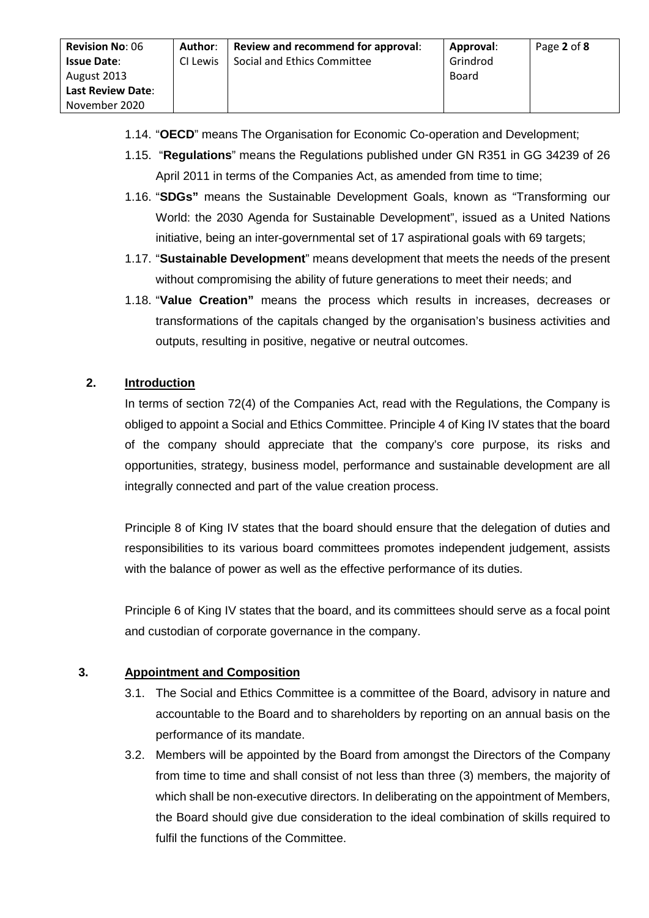**Author**:

Page **2** of **8**

- 1.15. "**Regulations**" means the Regulations published under GN R351 in GG 34239 of 26 April 2011 in terms of the Companies Act, as amended from time to time;
- 1.16. "**SDGs"** means the Sustainable Development Goals, known as "Transforming our World: the 2030 Agenda for Sustainable Development", issued as a United Nations initiative, being an inter-governmental set of 17 aspirational goals with 69 targets;
- 1.17. "**Sustainable Development**" means development that meets the needs of the present without compromising the ability of future generations to meet their needs; and
- 1.18. "**Value Creation"** means the process which results in increases, decreases or transformations of the capitals changed by the organisation's business activities and outputs, resulting in positive, negative or neutral outcomes.

# **2. Introduction**

In terms of section 72(4) of the Companies Act, read with the Regulations, the Company is obliged to appoint a Social and Ethics Committee. Principle 4 of King IV states that the board of the company should appreciate that the company's core purpose, its risks and opportunities, strategy, business model, performance and sustainable development are all integrally connected and part of the value creation process.

Principle 8 of King IV states that the board should ensure that the delegation of duties and responsibilities to its various board committees promotes independent judgement, assists with the balance of power as well as the effective performance of its duties.

Principle 6 of King IV states that the board, and its committees should serve as a focal point and custodian of corporate governance in the company.

## **3. Appointment and Composition**

- 3.1. The Social and Ethics Committee is a committee of the Board, advisory in nature and accountable to the Board and to shareholders by reporting on an annual basis on the performance of its mandate.
- 3.2. Members will be appointed by the Board from amongst the Directors of the Company from time to time and shall consist of not less than three (3) members, the majority of which shall be non-executive directors. In deliberating on the appointment of Members, the Board should give due consideration to the ideal combination of skills required to fulfil the functions of the Committee.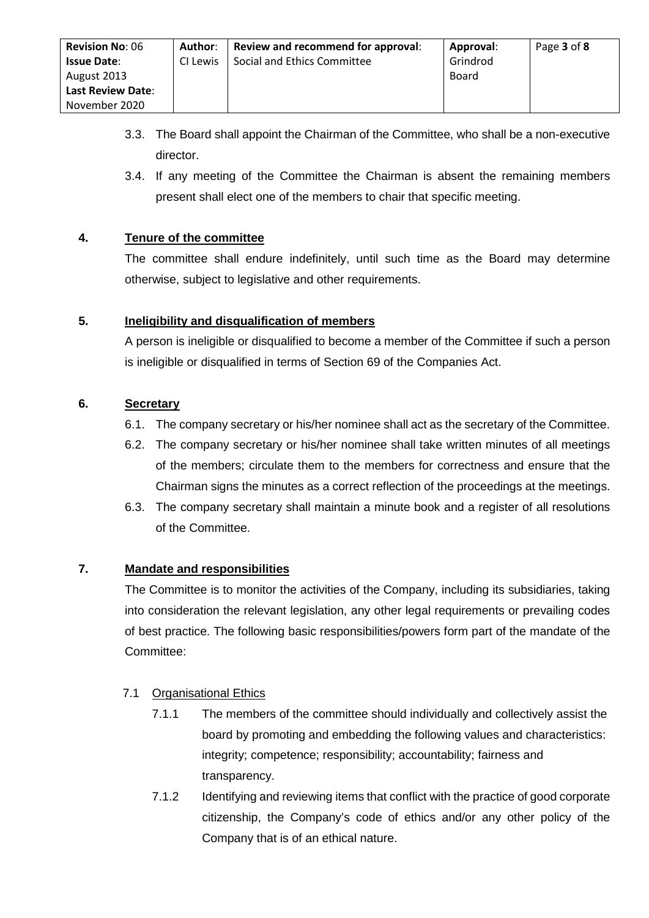- 3.3. The Board shall appoint the Chairman of the Committee, who shall be a non-executive director.
- 3.4. If any meeting of the Committee the Chairman is absent the remaining members present shall elect one of the members to chair that specific meeting.

# **4. Tenure of the committee**

The committee shall endure indefinitely, until such time as the Board may determine otherwise, subject to legislative and other requirements.

## **5. Ineligibility and disqualification of members**

A person is ineligible or disqualified to become a member of the Committee if such a person is ineligible or disqualified in terms of Section 69 of the Companies Act.

## **6. Secretary**

- 6.1. The company secretary or his/her nominee shall act as the secretary of the Committee.
- 6.2. The company secretary or his/her nominee shall take written minutes of all meetings of the members; circulate them to the members for correctness and ensure that the Chairman signs the minutes as a correct reflection of the proceedings at the meetings.
- 6.3. The company secretary shall maintain a minute book and a register of all resolutions of the Committee.

# **7. Mandate and responsibilities**

The Committee is to monitor the activities of the Company, including its subsidiaries, taking into consideration the relevant legislation, any other legal requirements or prevailing codes of best practice. The following basic responsibilities/powers form part of the mandate of the Committee:

## 7.1 Organisational Ethics

- 7.1.1 The members of the committee should individually and collectively assist the board by promoting and embedding the following values and characteristics: integrity; competence; responsibility; accountability; fairness and transparency.
- 7.1.2 Identifying and reviewing items that conflict with the practice of good corporate citizenship, the Company's code of ethics and/or any other policy of the Company that is of an ethical nature.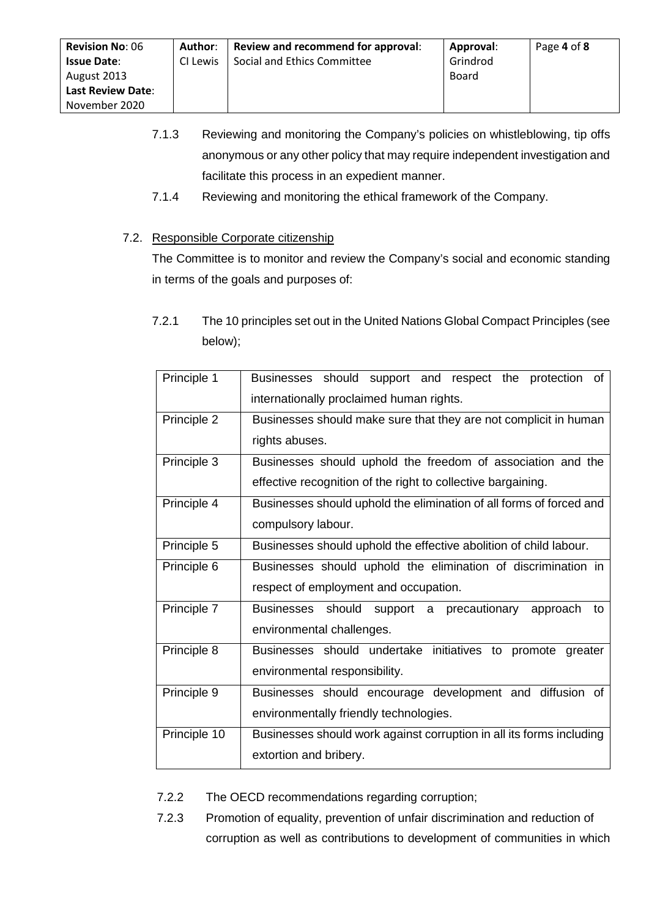- 7.1.3 Reviewing and monitoring the Company's policies on whistleblowing, tip offs anonymous or any other policy that may require independent investigation and facilitate this process in an expedient manner.
- 7.1.4 Reviewing and monitoring the ethical framework of the Company.

# 7.2. Responsible Corporate citizenship

The Committee is to monitor and review the Company's social and economic standing in terms of the goals and purposes of:

| Principle 1  | Businesses should support and respect the<br>protection<br>0f        |  |  |  |  |
|--------------|----------------------------------------------------------------------|--|--|--|--|
|              | internationally proclaimed human rights.                             |  |  |  |  |
| Principle 2  | Businesses should make sure that they are not complicit in human     |  |  |  |  |
|              | rights abuses.                                                       |  |  |  |  |
| Principle 3  | Businesses should uphold the freedom of association and the          |  |  |  |  |
|              | effective recognition of the right to collective bargaining.         |  |  |  |  |
| Principle 4  | Businesses should uphold the elimination of all forms of forced and  |  |  |  |  |
|              | compulsory labour.                                                   |  |  |  |  |
| Principle 5  | Businesses should uphold the effective abolition of child labour.    |  |  |  |  |
| Principle 6  | Businesses should uphold the elimination of discrimination in        |  |  |  |  |
|              | respect of employment and occupation.                                |  |  |  |  |
| Principle 7  | Businesses should support a precautionary<br>approach<br>to          |  |  |  |  |
|              | environmental challenges.                                            |  |  |  |  |
| Principle 8  | Businesses should undertake initiatives to promote greater           |  |  |  |  |
|              | environmental responsibility.                                        |  |  |  |  |
| Principle 9  | Businesses should encourage development and diffusion of             |  |  |  |  |
|              | environmentally friendly technologies.                               |  |  |  |  |
| Principle 10 | Businesses should work against corruption in all its forms including |  |  |  |  |
|              | extortion and bribery.                                               |  |  |  |  |
|              |                                                                      |  |  |  |  |

7.2.1 The 10 principles set out in the United Nations Global Compact Principles (see below);

- 7.2.2 The OECD recommendations regarding corruption;
- 7.2.3 Promotion of equality, prevention of unfair discrimination and reduction of corruption as well as contributions to development of communities in which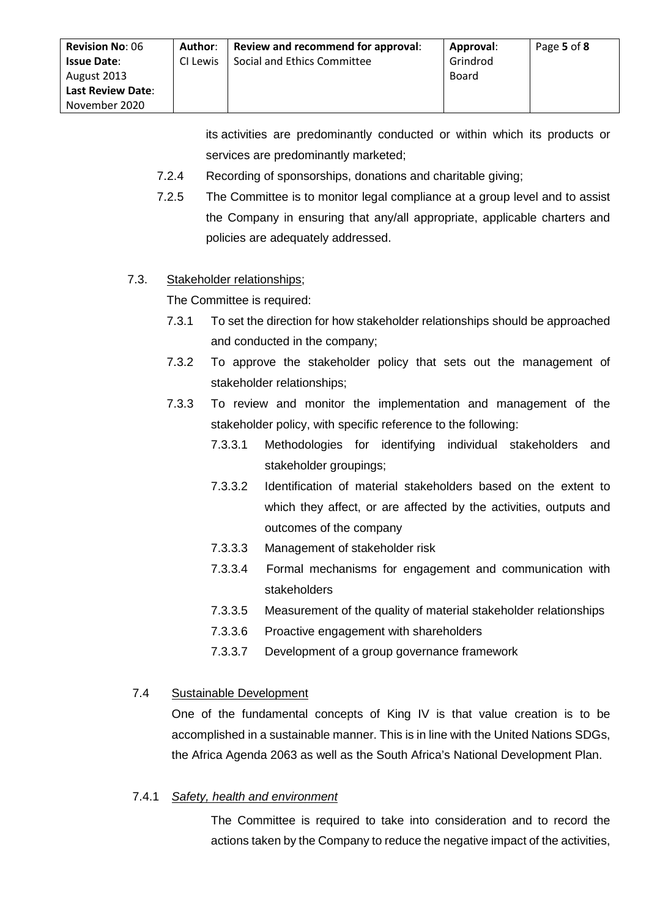its activities are predominantly conducted or within which its products or services are predominantly marketed;

- 7.2.4 Recording of sponsorships, donations and charitable giving;
- 7.2.5 The Committee is to monitor legal compliance at a group level and to assist the Company in ensuring that any/all appropriate, applicable charters and policies are adequately addressed.

## 7.3. Stakeholder relationships;

The Committee is required:

- 7.3.1 To set the direction for how stakeholder relationships should be approached and conducted in the company;
- 7.3.2 To approve the stakeholder policy that sets out the management of stakeholder relationships;
- 7.3.3 To review and monitor the implementation and management of the stakeholder policy, with specific reference to the following:
	- 7.3.3.1 Methodologies for identifying individual stakeholders and stakeholder groupings;
	- 7.3.3.2 Identification of material stakeholders based on the extent to which they affect, or are affected by the activities, outputs and outcomes of the company
	- 7.3.3.3 Management of stakeholder risk
	- 7.3.3.4 Formal mechanisms for engagement and communication with stakeholders
	- 7.3.3.5 Measurement of the quality of material stakeholder relationships
	- 7.3.3.6 Proactive engagement with shareholders
	- 7.3.3.7 Development of a group governance framework

## 7.4 Sustainable Development

One of the fundamental concepts of King IV is that value creation is to be accomplished in a sustainable manner. This is in line with the United Nations SDGs, the Africa Agenda 2063 as well as the South Africa's National Development Plan.

#### 7.4.1 *Safety, health and environment*

The Committee is required to take into consideration and to record the actions taken by the Company to reduce the negative impact of the activities,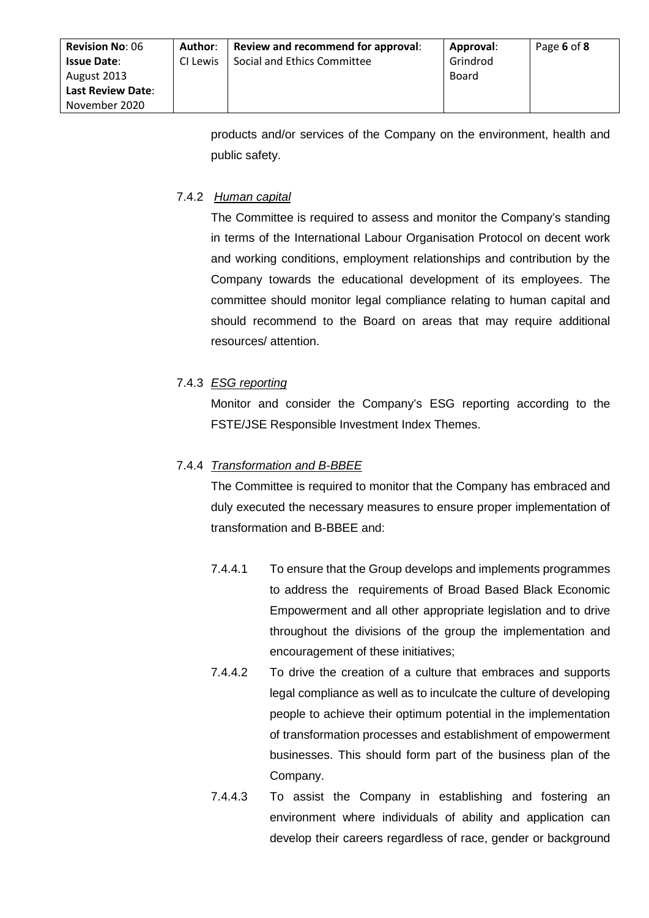products and/or services of the Company on the environment, health and public safety.

# 7.4.2 *Human capital*

The Committee is required to assess and monitor the Company's standing in terms of the International Labour Organisation Protocol on decent work and working conditions, employment relationships and contribution by the Company towards the educational development of its employees. The committee should monitor legal compliance relating to human capital and should recommend to the Board on areas that may require additional resources/ attention.

# 7.4.3 *ESG reporting*

Monitor and consider the Company's ESG reporting according to the FSTE/JSE Responsible Investment Index Themes.

# 7.4.4 *Transformation and B-BBEE*

The Committee is required to monitor that the Company has embraced and duly executed the necessary measures to ensure proper implementation of transformation and B-BBEE and:

- 7.4.4.1 To ensure that the Group develops and implements programmes to address the requirements of Broad Based Black Economic Empowerment and all other appropriate legislation and to drive throughout the divisions of the group the implementation and encouragement of these initiatives;
- 7.4.4.2 To drive the creation of a culture that embraces and supports legal compliance as well as to inculcate the culture of developing people to achieve their optimum potential in the implementation of transformation processes and establishment of empowerment businesses. This should form part of the business plan of the Company.
- 7.4.4.3 To assist the Company in establishing and fostering an environment where individuals of ability and application can develop their careers regardless of race, gender or background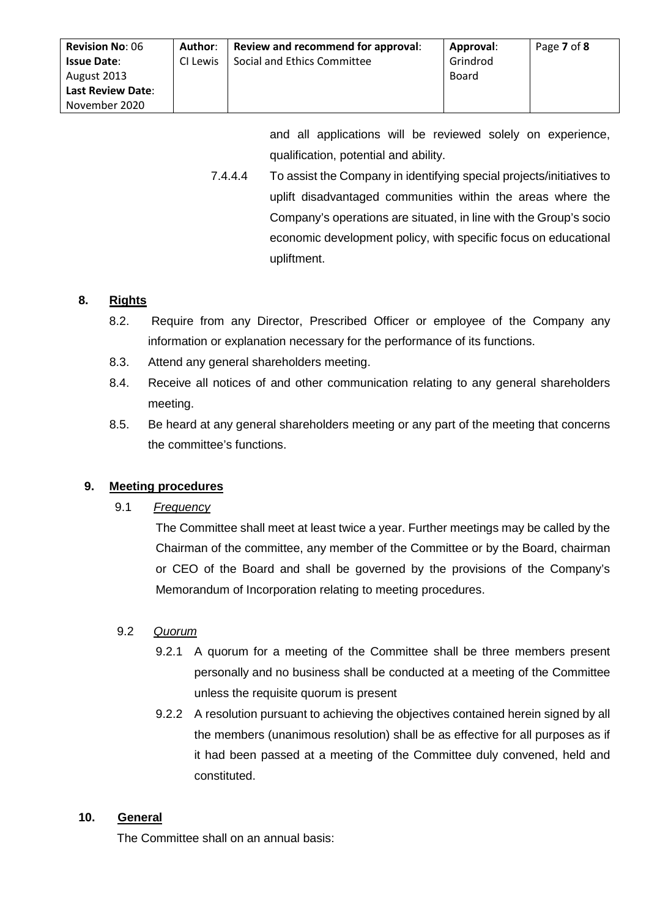| <b>Revision No: 06</b><br><b>Issue Date:</b><br>August 2013<br><b>Last Review Date:</b> | Author:<br>CI Lewis | Review and recommend for approval:<br>Social and Ethics Committee | Approval:<br>Grindrod<br>Board | Page 7 of 8 |
|-----------------------------------------------------------------------------------------|---------------------|-------------------------------------------------------------------|--------------------------------|-------------|
| November 2020                                                                           |                     |                                                                   |                                |             |

and all applications will be reviewed solely on experience, qualification, potential and ability.

7.4.4.4 To assist the Company in identifying special projects/initiatives to uplift disadvantaged communities within the areas where the Company's operations are situated, in line with the Group's socio economic development policy, with specific focus on educational upliftment.

## **8. Rights**

- 8.2. Require from any Director, Prescribed Officer or employee of the Company any information or explanation necessary for the performance of its functions.
- 8.3. Attend any general shareholders meeting.
- 8.4. Receive all notices of and other communication relating to any general shareholders meeting.
- 8.5. Be heard at any general shareholders meeting or any part of the meeting that concerns the committee's functions.

## **9. Meeting procedures**

# 9.1 *Frequency*

The Committee shall meet at least twice a year. Further meetings may be called by the Chairman of the committee, any member of the Committee or by the Board, chairman or CEO of the Board and shall be governed by the provisions of the Company's Memorandum of Incorporation relating to meeting procedures.

## 9.2 *Quorum*

- 9.2.1 A quorum for a meeting of the Committee shall be three members present personally and no business shall be conducted at a meeting of the Committee unless the requisite quorum is present
- 9.2.2 A resolution pursuant to achieving the objectives contained herein signed by all the members (unanimous resolution) shall be as effective for all purposes as if it had been passed at a meeting of the Committee duly convened, held and constituted.

## **10. General**

The Committee shall on an annual basis: